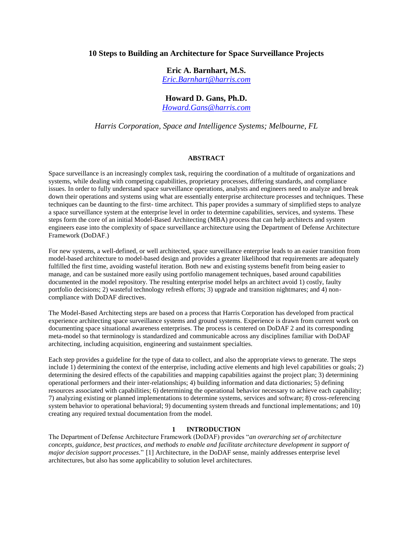# **10 Steps to Building an Architecture for Space Surveillance Projects**

**Eric A. Barnhart, M.S.** *[Eric.Barnhart@harris.com](mailto:Eric.Barnhart@harris.com)*

**Howard D. Gans, Ph.D.**

*[Howard.Gans@harris.com](mailto:Howard.Gans@harris.com)*

*Harris Corporation, Space and Intelligence Systems; Melbourne, FL*

### **ABSTRACT**

Space surveillance is an increasingly complex task, requiring the coordination of a multitude of organizations and systems, while dealing with competing capabilities, proprietary processes, differing standards, and compliance issues. In order to fully understand space surveillance operations, analysts and engineers need to analyze and break down their operations and systems using what are essentially enterprise architecture processes and techniques. These techniques can be daunting to the first- time architect. This paper provides a summary of simplified steps to analyze a space surveillance system at the enterprise level in order to determine capabilities, services, and systems. These steps form the core of an initial Model-Based Architecting (MBA) process that can help architects and system engineers ease into the complexity of space surveillance architecture using the Department of Defense Architecture Framework (DoDAF.)

For new systems, a well-defined, or well architected, space surveillance enterprise leads to an easier transition from model-based architecture to model-based design and provides a greater likelihood that requirements are adequately fulfilled the first time, avoiding wasteful iteration. Both new and existing systems benefit from being easier to manage, and can be sustained more easily using portfolio management techniques, based around capabilities documented in the model repository. The resulting enterprise model helps an architect avoid 1) costly, faulty portfolio decisions; 2) wasteful technology refresh efforts; 3) upgrade and transition nightmares; and 4) noncompliance with DoDAF directives.

The Model-Based Architecting steps are based on a process that Harris Corporation has developed from practical experience architecting space surveillance systems and ground systems. Experience is drawn from current work on documenting space situational awareness enterprises. The process is centered on DoDAF 2 and its corresponding meta-model so that terminology is standardized and communicable across any disciplines familiar with DoDAF architecting, including acquisition, engineering and sustainment specialties.

Each step provides a guideline for the type of data to collect, and also the appropriate views to generate. The steps include 1) determining the context of the enterprise, including active elements and high level capabilities or goals; 2) determining the desired effects of the capabilities and mapping capabilities against the project plan; 3) determining operational performers and their inter-relationships; 4) building information and data dictionaries; 5) defining resources associated with capabilities; 6) determining the operational behavior necessary to achieve each capability; 7) analyzing existing or planned implementations to determine systems, services and software; 8) cross-referencing system behavior to operational behavioral; 9) documenting system threads and functional implementations; and 10) creating any required textual documentation from the model.

# **1 INTRODUCTION**

The Department of Defense Architecture Framework (DoDAF) provides "*an overarching set of architecture concepts, guidance, best practices, and methods to enable and facilitate architecture development in support of major decision support processes.*" [1] Architecture, in the DoDAF sense, mainly addresses enterprise level architectures, but also has some applicability to solution level architectures.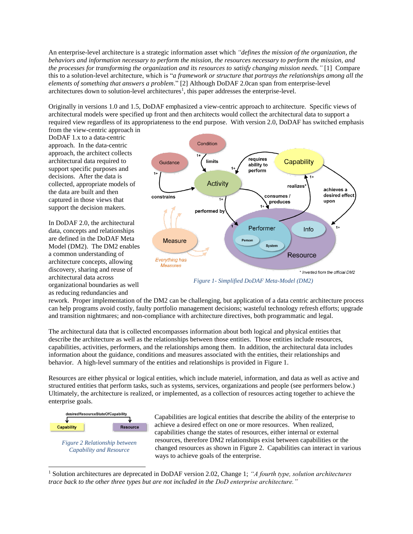An enterprise-level architecture is a strategic information asset which *"defines the mission of the organization, the behaviors and information necessary to perform the mission, the resources necessary to perform the mission, and the processes for transforming the organization and its resources to satisfy changing mission needs."* [1] Compare this to a solution-level architecture, which is "*a framework or structure that portrays the relationships among all the elements of something that answers a problem*." [2] Although DoDAF 2.0can span from enterprise-level architectures down to solution-level architectures<sup>1</sup>, this paper addresses the enterprise-level.

Originally in versions 1.0 and 1.5, DoDAF emphasized a view-centric approach to architecture. Specific views of architectural models were specified up front and then architects would collect the architectural data to support a required view regardless of its appropriateness to the end purpose. With version 2.0, DoDAF has switched emphasis from the view-centric approach in

DoDAF 1.x to a data-centric approach. In the data-centric approach, the architect collects architectural data required to support specific purposes and decisions. After the data is collected, appropriate models of the data are built and then captured in those views that support the decision makers.

In DoDAF 2.0, the architectural data, concepts and relationships are defined in the DoDAF Meta Model (DM2). The DM2 enables a common understanding of architecture concepts, allowing discovery, sharing and reuse of architectural data across organizational boundaries as well as reducing redundancies and



<span id="page-1-0"></span>*Figure 1- Simplified DoDAF Meta-Model (DM2)*

rework. Proper implementation of the DM2 can be challenging, but application of a data centric architecture process can help programs avoid costly, faulty portfolio management decisions; wasteful technology refresh efforts; upgrade and transition nightmares; and non-compliance with architecture directives, both programmatic and legal.

The architectural data that is collected encompasses information about both logical and physical entities that describe the architecture as well as the relationships between those entities. Those entities include resources, capabilities, activities, performers, and the relationships among them. In addition, the architectural data includes information about the guidance, conditions and measures associated with the entities, their relationships and behavior. A high-level summary of the entities and relationships is provided in [Figure 1.](#page-1-0)

Resources are either physical or logical entities, which include materiel, information, and data as well as active and structured entities that perform tasks, such as systems, services, organizations and people (see performers below.) Ultimately, the architecture is realized, or implemented, as a collection of resources acting together to achieve the enterprise goals.



<span id="page-1-1"></span>*Figure 2 Relationship between Capability and Resource*

Capabilities are logical entities that describe the ability of the enterprise to achieve a desired effect on one or more resources. When realized, capabilities change the states of resources, either internal or external resources, therefore DM2 relationships exist between capabilities or the changed resources as shown i[n Figure 2.](#page-1-1) Capabilities can interact in various ways to achieve goals of the enterprise.

 $\overline{a}$ <sup>1</sup> Solution architectures are deprecated in DoDAF version 2.02, Change 1; *"A fourth type, solution architectures trace back to the other three types but are not included in the DoD enterprise architecture."*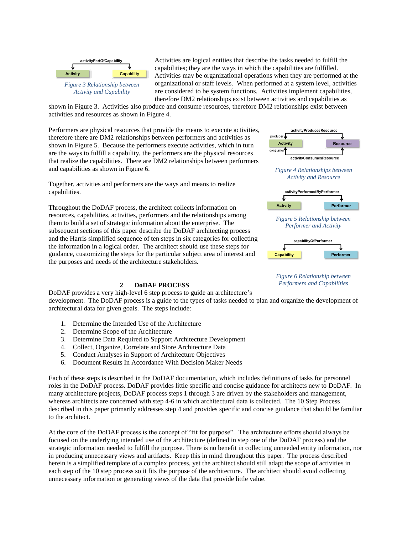

<span id="page-2-0"></span>*Activity and Capability*

Activities are logical entities that describe the tasks needed to fulfill the capabilities; they are the ways in which the capabilities are fulfilled. Activities may be organizational operations when they are performed at the organizational or staff levels. When performed at a system level, activities are considered to be system functions. Activities implement capabilities, therefore DM2 relationships exist between activities and capabilities as

shown in [Figure 3.](#page-2-0) Activities also produce and consume resources, therefore DM2 relationships exist between activities and resources as shown in [Figure 4.](#page-2-1)

Performers are physical resources that provide the means to execute activities, therefore there are DM2 relationships between performers and activities as shown in [Figure 5.](#page-2-2) Because the performers execute activities, which in turn are the ways to fulfill a capability, the performers are the physical resources that realize the capabilities. There are DM2 relationships between performers and capabilities as shown in [Figure 6.](#page-2-3)

Together, activities and performers are the ways and means to realize capabilities.

Throughout the DoDAF process, the architect collects information on resources, capabilities, activities, performers and the relationships among them to build a set of strategic information about the enterprise. The subsequent sections of this paper describe the DoDAF architecting process and the Harris simplified sequence of ten steps in six categories for collecting the information in a logical order. The architect should use these steps for guidance, customizing the steps for the particular subject area of interest and the purposes and needs of the architecture stakeholders.

# **2 DoDAF PROCESS**



- 1. Determine the Intended Use of the Architecture
- 2. Determine Scope of the Architecture
- 3. Determine Data Required to Support Architecture Development
- 4. Collect, Organize, Correlate and Store Architecture Data
- 5. Conduct Analyses in Support of Architecture Objectives
- 6. Document Results In Accordance With Decision Maker Needs

Each of these steps is described in the DoDAF documentation, which includes definitions of tasks for personnel roles in the DoDAF process. DoDAF provides little specific and concise guidance for architects new to DoDAF. In many architecture projects, DoDAF process steps 1 through 3 are driven by the stakeholders and management, whereas architects are concerned with step 4-6 in which architectural data is collected. The 10 Step Process described in this paper primarily addresses step 4 and provides specific and concise guidance that should be familiar to the architect.

At the core of the DoDAF process is the concept of "fit for purpose". The architecture efforts should always be focused on the underlying intended use of the architecture (defined in step one of the DoDAF process) and the strategic information needed to fulfill the purpose. There is no benefit in collecting unneeded entity information, nor in producing unnecessary views and artifacts. Keep this in mind throughout this paper. The process described herein is a simplified template of a complex process, yet the architect should still adapt the scope of activities in each step of the 10 step process so it fits the purpose of the architecture. The architect should avoid collecting unnecessary information or generating views of the data that provide little value.



activityProducesResource

<span id="page-2-1"></span>

<span id="page-2-2"></span>



<span id="page-2-3"></span>*Figure 6 Relationship between Performers and Capabilities*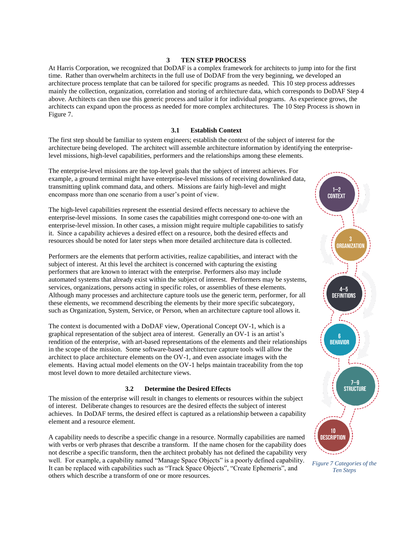# **3 TEN STEP PROCESS**

At Harris Corporation, we recognized that DoDAF is a complex framework for architects to jump into for the first time. Rather than overwhelm architects in the full use of DoDAF from the very beginning, we developed an architecture process template that can be tailored for specific programs as needed. This 10 step process addresses mainly the collection, organization, correlation and storing of architecture data, which corresponds to DoDAF Step 4 above. Architects can then use this generic process and tailor it for individual programs. As experience grows, the architects can expand upon the process as needed for more complex architectures. The 10 Step Process is shown in [Figure 7.](#page-3-0)

# **3.1 Establish Context**

The first step should be familiar to system engineers; establish the context of the subject of interest for the architecture being developed. The architect will assemble architecture information by identifying the enterpriselevel missions, high-level capabilities, performers and the relationships among these elements.

The enterprise-level missions are the top-level goals that the subject of interest achieves. For example, a ground terminal might have enterprise-level missions of receiving downlinked data, transmitting uplink command data, and others. Missions are fairly high-level and might encompass more than one scenario from a user's point of view.

The high-level capabilities represent the essential desired effects necessary to achieve the enterprise-level missions. In some cases the capabilities might correspond one-to-one with an enterprise-level mission. In other cases, a mission might require multiple capabilities to satisfy it. Since a capability achieves a desired effect on a resource, both the desired effects and resources should be noted for later steps when more detailed architecture data is collected.

Performers are the elements that perform activities, realize capabilities, and interact with the subject of interest. At this level the architect is concerned with capturing the existing performers that are known to interact with the enterprise. Performers also may include automated systems that already exist within the subject of interest. Performers may be systems, services, organizations, persons acting in specific roles, or assemblies of these elements. Although many processes and architecture capture tools use the generic term, performer, for all these elements, we recommend describing the elements by their more specific subcategory, such as Organization, System, Service, or Person, when an architecture capture tool allows it.

The context is documented with a DoDAF view, Operational Concept OV-1, which is a graphical representation of the subject area of interest. Generally an OV-1 is an artist's rendition of the enterprise, with art-based representations of the elements and their relationships in the scope of the mission. Some software-based architecture capture tools will allow the architect to place architecture elements on the OV-1, and even associate images with the elements. Having actual model elements on the OV-1 helps maintain traceability from the top most level down to more detailed architecture views.

### **3.2 Determine the Desired Effects**

The mission of the enterprise will result in changes to elements or resources within the subject of interest. Deliberate changes to resources are the desired effects the subject of interest achieves. In DoDAF terms, the desired effect is captured as a relationship between a capability element and a resource element.

A capability needs to describe a specific change in a resource. Normally capabilities are named with verbs or verb phrases that describe a transform. If the name chosen for the capability does not describe a specific transform, then the architect probably has not defined the capability very well. For example, a capability named "Manage Space Objects" is a poorly defined capability. It can be replaced with capabilities such as "Track Space Objects", "Create Ephemeris", and others which describe a transform of one or more resources.



<span id="page-3-0"></span>*Figure 7 Categories of the Ten Steps*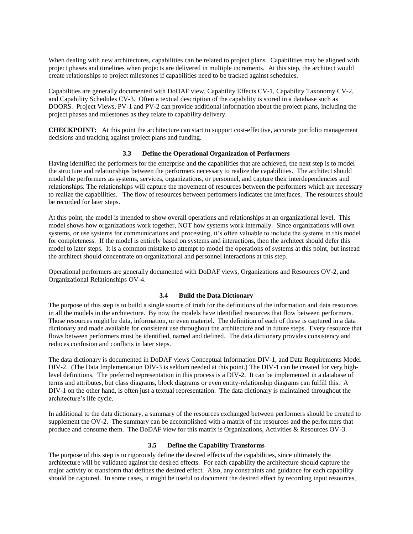When dealing with new architectures, capabilities can be related to project plans. Capabilities may be aligned with project phases and timelines when projects are delivered in multiple increments. At this step, the architect would create relationships to project milestones if capabilities need to be tracked against schedules.

Capabilities are generally documented with DoDAF view, Capability Effects CV-1, Capability Taxonomy CV-2, and Capability Schedules CV-3. Often a textual description of the capability is stored in a database such as DOORS. Project Views, PV-1 and PV-2 can provide additional information about the project plans, including the project phases and milestones as they relate to capability delivery.

**CHECKPOINT:** At this point the architecture can start to support cost-effective, accurate portfolio management decisions and tracking against project plans and funding.

# **3.3 Define the Operational Organization of Performers**

Having identified the performers for the enterprise and the capabilities that are achieved, the next step is to model the structure and relationships between the performers necessary to realize the capabilities. The architect should model the performers as systems, services, organizations, or personnel, and capture their interdependencies and relationships. The relationships will capture the movement of resources between the performers which are necessary to realize the capabilities. The flow of resources between performers indicates the interfaces. The resources should be recorded for later steps.

At this point, the model is intended to show overall operations and relationships at an organizational level. This model shows how organizations work together, NOT how systems work internally. Since organizations will own systems, or use systems for communications and processing, it's often valuable to include the systems in this model for completeness. If the model is entirely based on systems and interactions, then the architect should defer this model to later steps. It is a common mistake to attempt to model the operations of systems at this point, but instead the architect should concentrate on organizational and personnel interactions at this step.

Operational performers are generally documented with DoDAF views, Organizations and Resources OV-2, and Organizational Relationships OV-4.

#### **3.4 Build the Data Dictionary**

The purpose of this step is to build a single source of truth for the definitions of the information and data resources in all the models in the architecture. By now the models have identified resources that flow between performers. Those resources might be data, information, or even materiel. The definition of each of these is captured in a data dictionary and made available for consistent use throughout the architecture and in future steps. Every resource that flows between performers must be identified, named and defined. The data dictionary provides consistency and reduces confusion and conflicts in later steps.

The data dictionary is documented in DoDAF views Conceptual Information DIV-1, and Data Requirements Model DIV-2. (The Data Implementation DIV-3 is seldom needed at this point.) The DIV-1 can be created for very highlevel definitions. The preferred representation in this process is a DIV-2. It can be implemented in a database of terms and attributes, but class diagrams, block diagrams or even entity-relationship diagrams can fulfill this. A DIV-1 on the other hand, is often just a textual representation. The data dictionary is maintained throughout the architecture's life cycle.

In additional to the data dictionary, a summary of the resources exchanged between performers should be created to supplement the OV-2. The summary can be accomplished with a matrix of the resources and the performers that produce and consume them. The DoDAF view for this matrix is Organizations, Activities & Resources OV-3.

### **3.5 Define the Capability Transforms**

The purpose of this step is to rigorously define the desired effects of the capabilities, since ultimately the architecture will be validated against the desired effects. For each capability the architecture should capture the major activity or transform that defines the desired effect. Also, any constraints and guidance for each capability should be captured. In some cases, it might be useful to document the desired effect by recording input resources,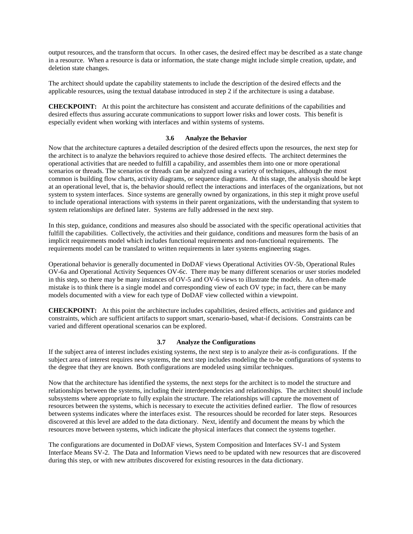output resources, and the transform that occurs. In other cases, the desired effect may be described as a state change in a resource. When a resource is data or information, the state change might include simple creation, update, and deletion state changes.

The architect should update the capability statements to include the description of the desired effects and the applicable resources, using the textual database introduced in step 2 if the architecture is using a database.

**CHECKPOINT:** At this point the architecture has consistent and accurate definitions of the capabilities and desired effects thus assuring accurate communications to support lower risks and lower costs. This benefit is especially evident when working with interfaces and within systems of systems.

### **3.6 Analyze the Behavior**

Now that the architecture captures a detailed description of the desired effects upon the resources, the next step for the architect is to analyze the behaviors required to achieve those desired effects. The architect determines the operational activities that are needed to fulfill a capability, and assembles them into one or more operational scenarios or threads. The scenarios or threads can be analyzed using a variety of techniques, although the most common is building flow charts, activity diagrams, or sequence diagrams. At this stage, the analysis should be kept at an operational level, that is, the behavior should reflect the interactions and interfaces of the organizations, but not system to system interfaces. Since systems are generally owned by organizations, in this step it might prove useful to include operational interactions with systems in their parent organizations, with the understanding that system to system relationships are defined later. Systems are fully addressed in the next step.

In this step, guidance, conditions and measures also should be associated with the specific operational activities that fulfill the capabilities. Collectively, the activities and their guidance, conditions and measures form the basis of an implicit requirements model which includes functional requirements and non-functional requirements. The requirements model can be translated to written requirements in later systems engineering stages.

Operational behavior is generally documented in DoDAF views Operational Activities OV-5b, Operational Rules OV-6a and Operational Activity Sequences OV-6c. There may be many different scenarios or user stories modeled in this step, so there may be many instances of OV-5 and OV-6 views to illustrate the models. An often-made mistake is to think there is a single model and corresponding view of each OV type; in fact, there can be many models documented with a view for each type of DoDAF view collected within a viewpoint.

**CHECKPOINT:** At this point the architecture includes capabilities, desired effects, activities and guidance and constraints, which are sufficient artifacts to support smart, scenario-based, what-if decisions. Constraints can be varied and different operational scenarios can be explored.

#### **3.7 Analyze the Configurations**

If the subject area of interest includes existing systems, the next step is to analyze their as-is configurations. If the subject area of interest requires new systems, the next step includes modeling the to-be configurations of systems to the degree that they are known. Both configurations are modeled using similar techniques.

Now that the architecture has identified the systems, the next steps for the architect is to model the structure and relationships between the systems, including their interdependencies and relationships. The architect should include subsystems where appropriate to fully explain the structure. The relationships will capture the movement of resources between the systems, which is necessary to execute the activities defined earlier. The flow of resources between systems indicates where the interfaces exist. The resources should be recorded for later steps. Resources discovered at this level are added to the data dictionary. Next, identify and document the means by which the resources move between systems, which indicate the physical interfaces that connect the systems together.

The configurations are documented in DoDAF views, System Composition and Interfaces SV-1 and System Interface Means SV-2. The Data and Information Views need to be updated with new resources that are discovered during this step, or with new attributes discovered for existing resources in the data dictionary.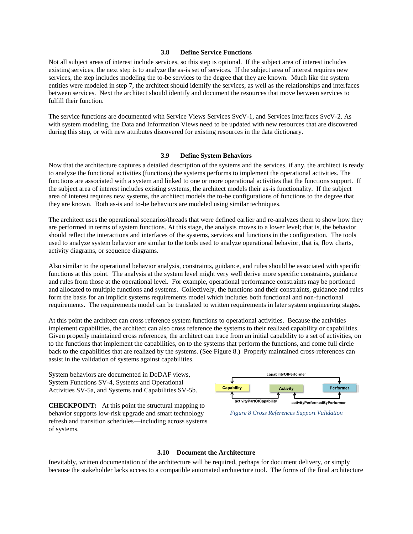# **3.8 Define Service Functions**

Not all subject areas of interest include services, so this step is optional. If the subject area of interest includes existing services, the next step is to analyze the as-is set of services. If the subject area of interest requires new services, the step includes modeling the to-be services to the degree that they are known. Much like the system entities were modeled in step 7, the architect should identify the services, as well as the relationships and interfaces between services. Next the architect should identify and document the resources that move between services to fulfill their function.

The service functions are documented with Service Views Services SvcV-1, and Services Interfaces SvcV-2. As with system modeling, the Data and Information Views need to be updated with new resources that are discovered during this step, or with new attributes discovered for existing resources in the data dictionary.

# **3.9 Define System Behaviors**

Now that the architecture captures a detailed description of the systems and the services, if any, the architect is ready to analyze the functional activities (functions) the systems performs to implement the operational activities. The functions are associated with a system and linked to one or more operational activities that the functions support. If the subject area of interest includes existing systems, the architect models their as-is functionality. If the subject area of interest requires new systems, the architect models the to-be configurations of functions to the degree that they are known. Both as-is and to-be behaviors are modeled using similar techniques.

The architect uses the operational scenarios/threads that were defined earlier and re-analyzes them to show how they are performed in terms of system functions. At this stage, the analysis moves to a lower level; that is, the behavior should reflect the interactions and interfaces of the systems, services and functions in the configuration. The tools used to analyze system behavior are similar to the tools used to analyze operational behavior, that is, flow charts, activity diagrams, or sequence diagrams.

Also similar to the operational behavior analysis, constraints, guidance, and rules should be associated with specific functions at this point. The analysis at the system level might very well derive more specific constraints, guidance and rules from those at the operational level. For example, operational performance constraints may be portioned and allocated to multiple functions and systems. Collectively, the functions and their constraints, guidance and rules form the basis for an implicit systems requirements model which includes both functional and non-functional requirements. The requirements model can be translated to written requirements in later system engineering stages.

At this point the architect can cross reference system functions to operational activities. Because the activities implement capabilities, the architect can also cross reference the systems to their realized capability or capabilities. Given properly maintained cross references, the architect can trace from an initial capability to a set of activities, on to the functions that implement the capabilities, on to the systems that perform the functions, and come full circle back to the capabilities that are realized by the systems. (See [Figure 8.](#page-6-0)) Properly maintained cross-references can assist in the validation of systems against capabilities.

System behaviors are documented in DoDAF views, System Functions SV-4, Systems and Operational Activities SV-5a, and Systems and Capabilities SV-5b.

**CHECKPOINT:** At this point the structural mapping to behavior supports low-risk upgrade and smart technology refresh and transition schedules—including across systems of systems.



<span id="page-6-0"></span>*Figure 8 Cross References Support Validation*

#### **3.10 Document the Architecture**

Inevitably, written documentation of the architecture will be required, perhaps for document delivery, or simply because the stakeholder lacks access to a compatible automated architecture tool. The forms of the final architecture